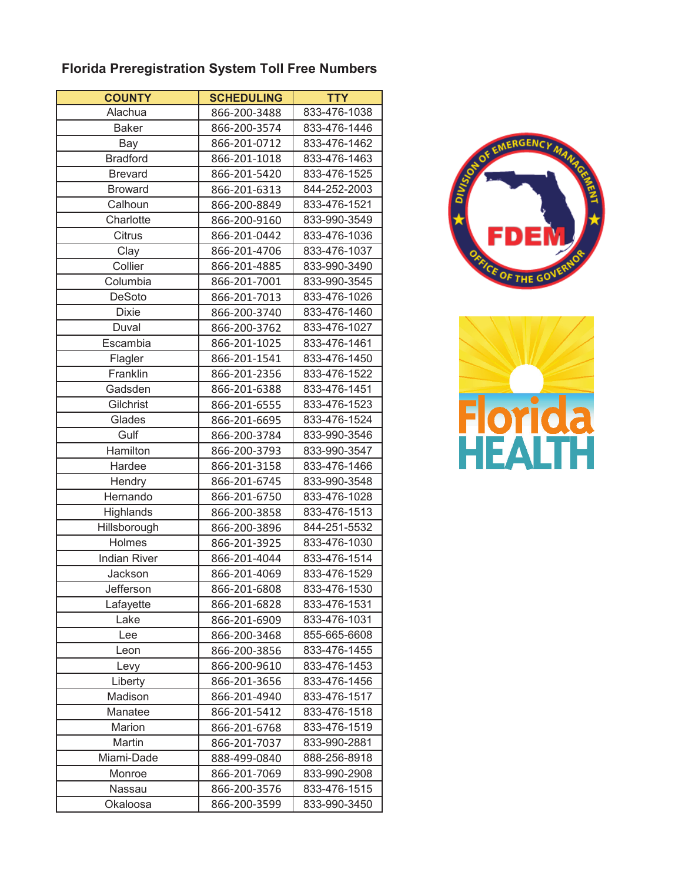## **Florida Preregistration System Toll Free Numbers**

| <b>COUNTY</b>       | <b>SCHEDULING</b> | <b>TTY</b>   |
|---------------------|-------------------|--------------|
| Alachua             | 866-200-3488      | 833-476-1038 |
| <b>Baker</b>        | 866-200-3574      | 833-476-1446 |
| Bay                 | 866-201-0712      | 833-476-1462 |
| <b>Bradford</b>     | 866-201-1018      | 833-476-1463 |
| <b>Brevard</b>      | 866-201-5420      | 833-476-1525 |
| <b>Broward</b>      | 866-201-6313      | 844-252-2003 |
| Calhoun             | 866-200-8849      | 833-476-1521 |
| Charlotte           | 866-200-9160      | 833-990-3549 |
| Citrus              | 866-201-0442      | 833-476-1036 |
| Clay                | 866-201-4706      | 833-476-1037 |
| Collier             | 866-201-4885      | 833-990-3490 |
| Columbia            | 866-201-7001      | 833-990-3545 |
| DeSoto              | 866-201-7013      | 833-476-1026 |
| <b>Dixie</b>        | 866-200-3740      | 833-476-1460 |
| Duval               | 866-200-3762      | 833-476-1027 |
| Escambia            | 866-201-1025      | 833-476-1461 |
| Flagler             | 866-201-1541      | 833-476-1450 |
| Franklin            | 866-201-2356      | 833-476-1522 |
| Gadsden             | 866-201-6388      | 833-476-1451 |
| Gilchrist           | 866-201-6555      | 833-476-1523 |
| Glades              | 866-201-6695      | 833-476-1524 |
| Gulf                | 866-200-3784      | 833-990-3546 |
| Hamilton            | 866-200-3793      | 833-990-3547 |
| Hardee              | 866-201-3158      | 833-476-1466 |
| Hendry              | 866-201-6745      | 833-990-3548 |
| Hernando            | 866-201-6750      | 833-476-1028 |
| Highlands           | 866-200-3858      | 833-476-1513 |
| Hillsborough        | 866-200-3896      | 844-251-5532 |
| Holmes              | 866-201-3925      | 833-476-1030 |
| <b>Indian River</b> | 866-201-4044      | 833-476-1514 |
| Jackson             | 866-201-4069      | 833-476-1529 |
| Jefferson           | 866-201-6808      | 833-476-1530 |
| Lafayette           | 866-201-6828      | 833-476-1531 |
| Lake                | 866-201-6909      | 833-476-1031 |
| Lee                 | 866-200-3468      | 855-665-6608 |
| Leon                | 866-200-3856      | 833-476-1455 |
| Levy                | 866-200-9610      | 833-476-1453 |
| Liberty             | 866-201-3656      | 833-476-1456 |
| Madison             | 866-201-4940      | 833-476-1517 |
| Manatee             | 866-201-5412      | 833-476-1518 |
| Marion              | 866-201-6768      | 833-476-1519 |
| Martin              | 866-201-7037      | 833-990-2881 |
| Miami-Dade          | 888-499-0840      | 888-256-8918 |
| Monroe              | 866-201-7069      | 833-990-2908 |
| Nassau              | 866-200-3576      | 833-476-1515 |
| Okaloosa            | 866-200-3599      | 833-990-3450 |